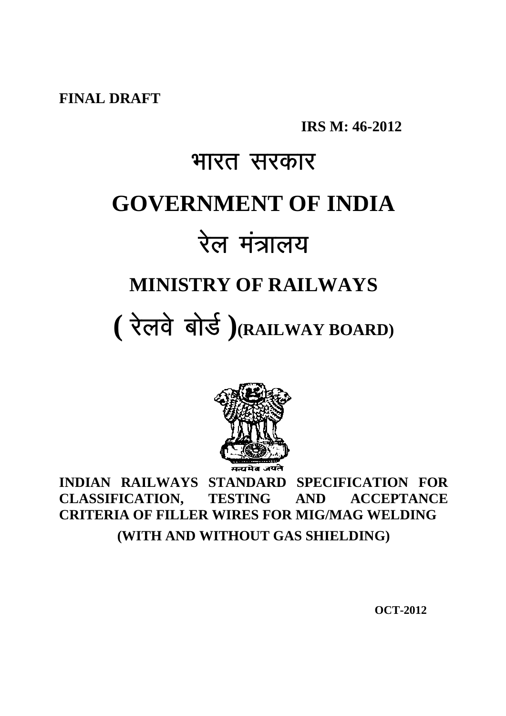**FINAL DRAFT**

**IRS M: 46-2012**

# भारत सरकार **GOVERNMENT OF INDIA** रेल मंत्रालय **MINISTRY OF RAILWAYS** (रेलवे बोर्ड) (RAILWAY BOARD)



**INDIAN RAILWAYS STANDARD SPECIFICATION FOR CLASSIFICATION, TESTING AND ACCEPTANCE CRITERIA OF FILLER WIRES FOR MIG/MAG WELDING (WITH AND WITHOUT GAS SHIELDING)**

 **OCT-2012**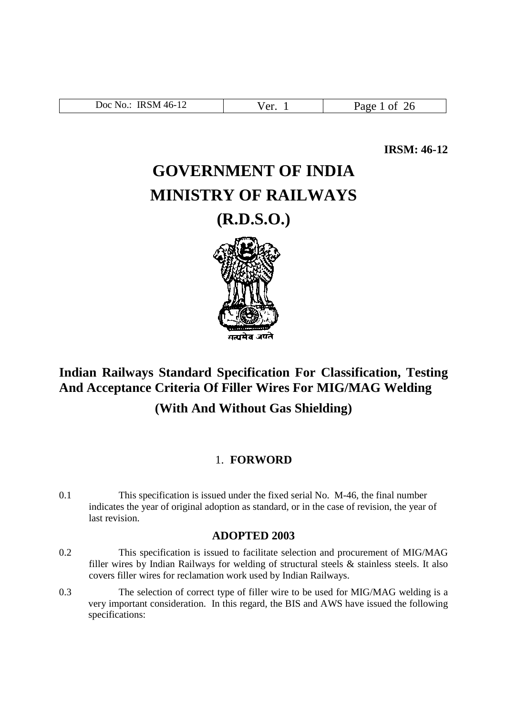| <b>IRSM 46-12</b><br>Doc  <br><b>No.</b> | $\alpha r$<br>u.<br>- | ാരല<br>$\overline{ }$ |
|------------------------------------------|-----------------------|-----------------------|

**IRSM: 46-12**

# **GOVERNMENT OF INDIA MINISTRY OF RAILWAYS**

**(R.D.S.O.)**



## **Indian Railways Standard Specification For Classification, Testing And Acceptance Criteria Of Filler Wires For MIG/MAG Welding**

**(With And Without Gas Shielding)**

#### 1. **FORWORD**

0.1 This specification is issued under the fixed serial No. M-46, the final number indicates the year of original adoption as standard, or in the case of revision, the year of last revision.

#### **ADOPTED 2003**

- 0.2 This specification is issued to facilitate selection and procurement of MIG/MAG filler wires by Indian Railways for welding of structural steels & stainless steels. It also covers filler wires for reclamation work used by Indian Railways.
- 0.3 The selection of correct type of filler wire to be used for MIG/MAG welding is a very important consideration. In this regard, the BIS and AWS have issued the following specifications: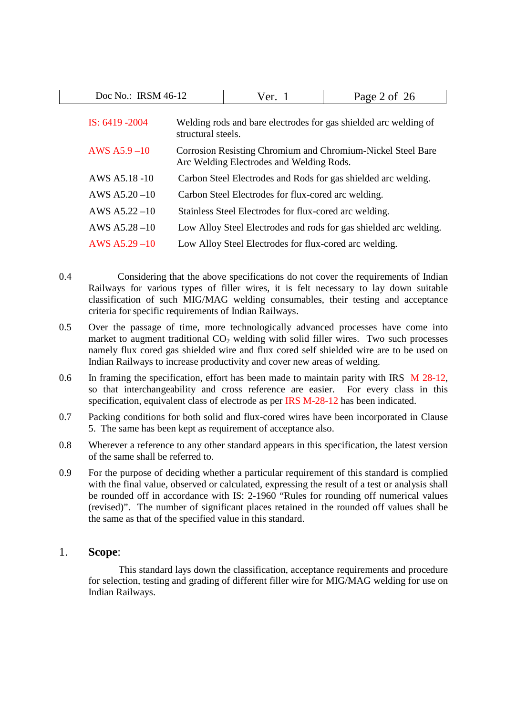| Doc No.: IRSM 46-12 |                                                                                                         | Ver. $1$                                               | Page 2 of 26                                                      |  |  |  |
|---------------------|---------------------------------------------------------------------------------------------------------|--------------------------------------------------------|-------------------------------------------------------------------|--|--|--|
| IS: $6419 - 2004$   | structural steels.                                                                                      |                                                        | Welding rods and bare electrodes for gas shielded arc welding of  |  |  |  |
| AWS $A5.9-10$       | Corrosion Resisting Chromium and Chromium-Nickel Steel Bare<br>Arc Welding Electrodes and Welding Rods. |                                                        |                                                                   |  |  |  |
| AWS A5.18 -10       |                                                                                                         |                                                        | Carbon Steel Electrodes and Rods for gas shielded arc welding.    |  |  |  |
| AWS $A5.20 - 10$    |                                                                                                         | Carbon Steel Electrodes for flux-cored arc welding.    |                                                                   |  |  |  |
| AWS $A5.22 - 10$    |                                                                                                         | Stainless Steel Electrodes for flux-cored arc welding. |                                                                   |  |  |  |
| AWS $A5.28 - 10$    |                                                                                                         |                                                        | Low Alloy Steel Electrodes and rods for gas shielded arc welding. |  |  |  |
| $AWS A5.29-10$      |                                                                                                         | Low Alloy Steel Electrodes for flux-cored arc welding. |                                                                   |  |  |  |

- 0.4 Considering that the above specifications do not cover the requirements of Indian Railways for various types of filler wires, it is felt necessary to lay down suitable classification of such MIG/MAG welding consumables, their testing and acceptance criteria for specific requirements of Indian Railways.
- 0.5 Over the passage of time, more technologically advanced processes have come into market to augment traditional  $CO<sub>2</sub>$  welding with solid filler wires. Two such processes namely flux cored gas shielded wire and flux cored self shielded wire are to be used on Indian Railways to increase productivity and cover new areas of welding.
- 0.6 In framing the specification, effort has been made to maintain parity with IRS M 28-12, so that interchangeability and cross reference are easier. For every class in this specification, equivalent class of electrode as per IRS M-28-12 has been indicated.
- 0.7 Packing conditions for both solid and flux-cored wires have been incorporated in Clause 5. The same has been kept as requirement of acceptance also.
- 0.8 Wherever a reference to any other standard appears in this specification, the latest version of the same shall be referred to.
- 0.9 For the purpose of deciding whether a particular requirement of this standard is complied with the final value, observed or calculated, expressing the result of a test or analysis shall be rounded off in accordance with IS: 2-1960 "Rules for rounding off numerical values (revised)". The number of significant places retained in the rounded off values shall be the same as that of the specified value in this standard.

#### 1. **Scope**:

This standard lays down the classification, acceptance requirements and procedure for selection, testing and grading of different filler wire for MIG/MAG welding for use on Indian Railways.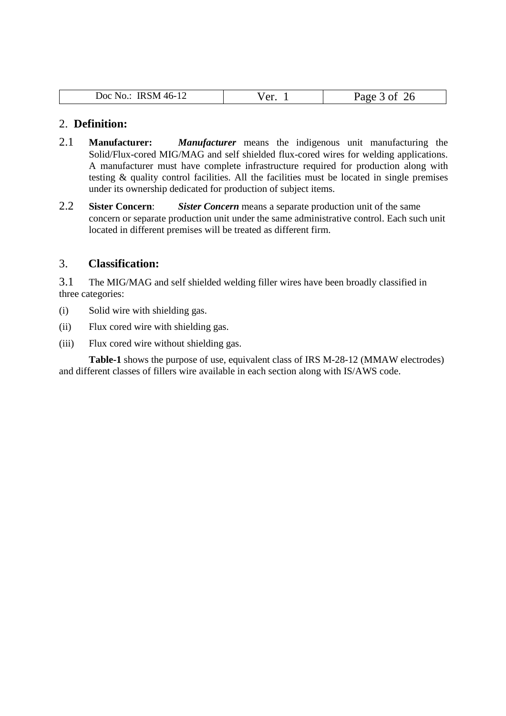| <b>IRSM 46-12</b><br>Doc No.: | $\alpha$ r | Page<br>ำค<br>0 <sup>t</sup><br>∠∪ |
|-------------------------------|------------|------------------------------------|

#### 2. **Definition:**

- 2.1 **Manufacturer:** *Manufacturer* means the indigenous unit manufacturing the Solid/Flux-cored MIG/MAG and self shielded flux-cored wires for welding applications. A manufacturer must have complete infrastructure required for production along with testing & quality control facilities. All the facilities must be located in single premises under its ownership dedicated for production of subject items.
- 2.2 **Sister Concern**: *Sister Concern* means a separate production unit of the same concern or separate production unit under the same administrative control. Each such unit located in different premises will be treated as different firm.

#### 3. **Classification:**

3.1 The MIG/MAG and self shielded welding filler wires have been broadly classified in three categories:

- (i) Solid wire with shielding gas.
- (ii) Flux cored wire with shielding gas.
- (iii) Flux cored wire without shielding gas.

**Table-1** shows the purpose of use, equivalent class of IRS M-28-12 (MMAW electrodes) and different classes of fillers wire available in each section along with IS/AWS code.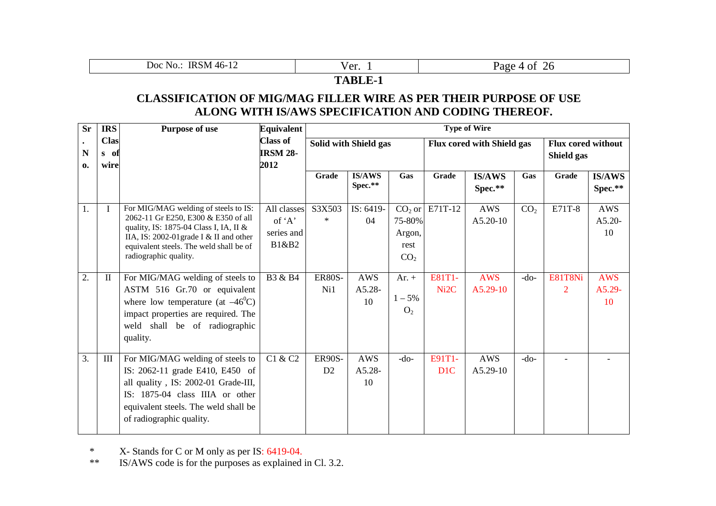| Doc.<br>NO.<br>$\cdot$ IV.<br>ıκ<br>∸∸ | $^{\prime}$ $\sim$ $^{\prime\prime}$<br>u. | Ħ<br>∠∪ |  |  |  |  |
|----------------------------------------|--------------------------------------------|---------|--|--|--|--|
| . <del>. .</del> .                     |                                            |         |  |  |  |  |

#### **CLASSIFICATION OF MIG/MAG FILLER WIRE AS PER THEIR PURPOSE OF USE ALONG WITH IS/AWS SPECIFICATION AND CODING THEREOF.**

| <b>Sr</b>         | <b>IRS</b>                  | <b>Purpose of use</b>                                                                                                                                                                                                                | <b>Equivalent</b>                            | <b>Type of Wire</b>   |                              |                                             |                           |                                   |                                         |              |                            |
|-------------------|-----------------------------|--------------------------------------------------------------------------------------------------------------------------------------------------------------------------------------------------------------------------------------|----------------------------------------------|-----------------------|------------------------------|---------------------------------------------|---------------------------|-----------------------------------|-----------------------------------------|--------------|----------------------------|
| N<br>$\mathbf{0}$ | <b>Clas</b><br>s of<br>wire |                                                                                                                                                                                                                                      | <b>Class of</b><br><b>IRSM 28-</b><br>2012   | Solid with Shield gas |                              |                                             |                           | <b>Flux cored with Shield gas</b> | <b>Flux cored without</b><br>Shield gas |              |                            |
|                   |                             |                                                                                                                                                                                                                                      |                                              | Grade                 | <b>IS/AWS</b><br>Spec.**     | Gas                                         | Grade                     | <b>IS/AWS</b><br>Spec.**          | Gas                                     | Grade        | <b>IS/AWS</b><br>Spec.**   |
| 1.                | $\mathbf I$                 | For MIG/MAG welding of steels to IS:<br>2062-11 Gr E250, E300 & E350 of all<br>quality, IS: 1875-04 Class I, IA, II &<br>IIA, IS: 2002-01 grade I & II and other<br>equivalent steels. The weld shall be of<br>radiographic quality. | All classes<br>of 'A'<br>series and<br>B1&B2 | S3X503<br>$\ast$      | IS: 6419-<br>04              | 75-80%<br>Argon,<br>rest<br>CO <sub>2</sub> | $CO2$ or E71T-12          | <b>AWS</b><br>$A5.20-10$          | CO <sub>2</sub>                         | E71T-8       | AWS<br>$A5.20-$<br>10      |
| 2.                | $\mathbf{I}$                | For MIG/MAG welding of steels to<br>ASTM 516 Gr.70 or equivalent<br>where low temperature (at $-46^{\circ}$ C)<br>impact properties are required. The<br>weld shall be of radiographic<br>quality.                                   | B3 & B4                                      | <b>ER80S-</b><br>Ni1  | <b>AWS</b><br>$A5.28-$<br>10 | Ar. $+$<br>$1 - 5\%$<br>O <sub>2</sub>      | E81T1-<br>Ni2C            | <b>AWS</b><br>$A5.29-10$          | $-do-$                                  | E81T8Ni<br>2 | <b>AWS</b><br>A5.29-<br>10 |
| 3.                | III                         | For MIG/MAG welding of steels to<br>IS: 2062-11 grade E410, E450 of<br>all quality, IS: 2002-01 Grade-III,<br>IS: 1875-04 class IIIA or other<br>equivalent steels. The weld shall be<br>of radiographic quality.                    | C1 & C2                                      | <b>ER90S-</b><br>D2   | <b>AWS</b><br>A5.28-<br>10   | $-do-$                                      | E91T1-<br>D <sub>1C</sub> | <b>AWS</b><br>$A5.29-10$          | $-do-$                                  |              |                            |

\* X- Stands for C or M only as per IS: 6419-04.

\*\* IS/AWS code is for the purposes as explained in Cl. 3.2.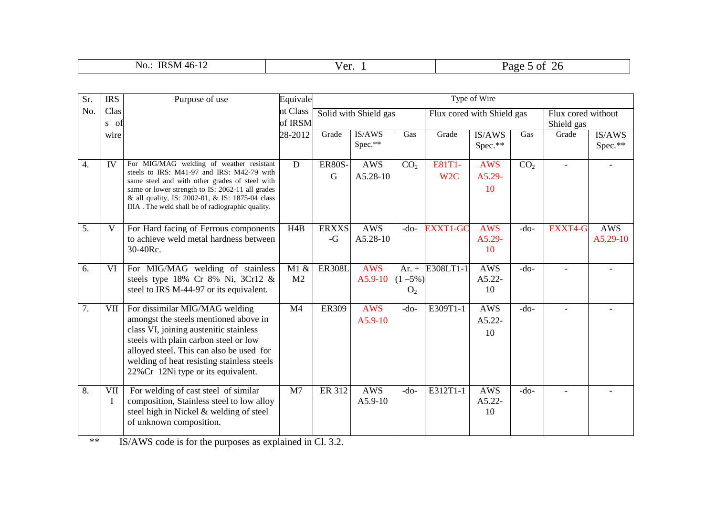| <b>IRSM</b><br>$-46-1$<br>No.<br>$\overline{1}$ | $\sqrt{2r}$<br>" U.<br>the contract of the contract of the contract of | Page<br>O1<br>$\angle 0$ |
|-------------------------------------------------|------------------------------------------------------------------------|--------------------------|

| Sr.              | <b>IRS</b>   | Purpose of use                                                                                                                                                                                                                                                                                      | Equivale               |                      | Type of Wire            |                                          |                            |                              |                 |         |                                  |  |
|------------------|--------------|-----------------------------------------------------------------------------------------------------------------------------------------------------------------------------------------------------------------------------------------------------------------------------------------------------|------------------------|----------------------|-------------------------|------------------------------------------|----------------------------|------------------------------|-----------------|---------|----------------------------------|--|
| No.              | Clas<br>s of |                                                                                                                                                                                                                                                                                                     | nt Class<br>of IRSM    |                      | Solid with Shield gas   |                                          |                            | Flux cored with Shield gas   |                 |         | Flux cored without<br>Shield gas |  |
|                  | wire         |                                                                                                                                                                                                                                                                                                     | 28-2012                | Grade                | IS/AWS<br>Spec.**       | Gas                                      | Grade                      | IS/AWS<br>Spec.**            | Gas             | Grade   | IS/AWS<br>Spec.**                |  |
| $\overline{4}$ . | IV           | For MIG/MAG welding of weather resistant<br>steels to IRS: M41-97 and IRS: M42-79 with<br>same steel and with other grades of steel with<br>same or lower strength to IS: 2062-11 all grades<br>& all quality, IS: 2002-01, & IS: 1875-04 class<br>IIIA. The weld shall be of radiographic quality. | D                      | <b>ER80S-</b><br>G   | AWS<br>A5.28-10         | CO <sub>2</sub>                          | E81T1-<br>W <sub>2</sub> C | <b>AWS</b><br>A5.29-<br>10   | CO <sub>2</sub> |         |                                  |  |
| 5.               | V            | For Hard facing of Ferrous components<br>to achieve weld metal hardness between<br>30-40Rc.                                                                                                                                                                                                         | H4B                    | <b>ERXXS</b><br>$-G$ | <b>AWS</b><br>A5.28-10  | $-do-$                                   | <b>EXXT1-GC</b>            | <b>AWS</b><br>A5.29-<br>10   | $-do-$          | EXXT4-G | <b>AWS</b><br>$A5.29-10$         |  |
| 6.               | VI           | For MIG/MAG welding of stainless<br>steels type $18\%$ Cr $8\%$ Ni, $3Cr12 \&$<br>steel to IRS M-44-97 or its equivalent.                                                                                                                                                                           | M1 &<br>M <sub>2</sub> | <b>ER308L</b>        | <b>AWS</b><br>A5.9-10   | Ar. $+$<br>$(1 - 5\%)$<br>O <sub>2</sub> | E308LT1-1                  | <b>AWS</b><br>A5.22-<br>10   | $-do-$          |         |                                  |  |
| 7.               | <b>VII</b>   | For dissimilar MIG/MAG welding<br>amongst the steels mentioned above in<br>class VI, joining austenitic stainless<br>steels with plain carbon steel or low<br>alloyed steel. This can also be used for<br>welding of heat resisting stainless steels<br>22% Cr 12Ni type or its equivalent.         | M <sub>4</sub>         | ER309                | <b>AWS</b><br>$A5.9-10$ | $-do-$                                   | E309T1-1                   | <b>AWS</b><br>$A5.22-$<br>10 | $-do-$          |         |                                  |  |
| 8.               | VII          | For welding of cast steel of similar<br>composition, Stainless steel to low alloy<br>steel high in Nickel & welding of steel<br>of unknown composition.                                                                                                                                             | M <sub>7</sub>         | ER 312               | <b>AWS</b><br>$A5.9-10$ | $-do-$                                   | E312T1-1                   | <b>AWS</b><br>$A5.22-$<br>10 | $-do-$          |         |                                  |  |

 $*$  IS/AWS code is for the purposes as explained in Cl. 3.2.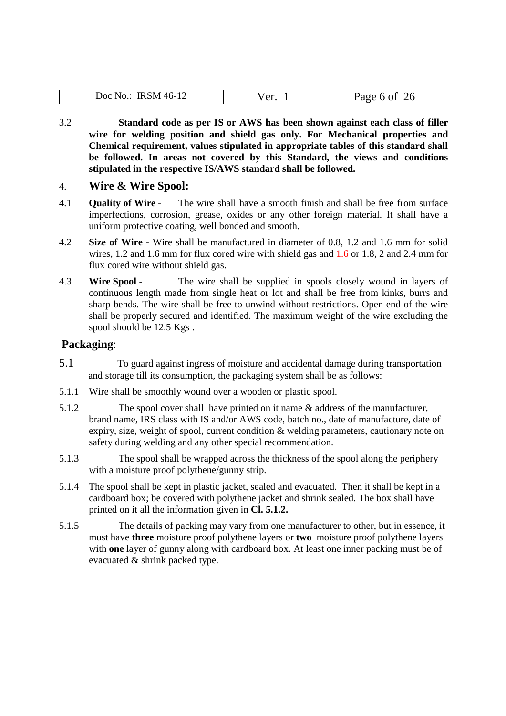| 46-<br>$\log$<br>٠M٠<br>N <sub>O</sub><br>. к<br>∸<br><b>TTTPTT</b><br>ີ | ۳۵۰.<br>$\sim$ | .<br>. .<br>⊷ |
|--------------------------------------------------------------------------|----------------|---------------|

3.2 **Standard code as per IS or AWS has been shown against each class of filler wire for welding position and shield gas only. For Mechanical properties and Chemical requirement, values stipulated in appropriate tables of this standard shall be followed. In areas not covered by this Standard, the views and conditions stipulated in the respective IS/AWS standard shall be followed.** 

#### 4. **Wire & Wire Spool:**

- 4.1 **Quality of Wire** The wire shall have a smooth finish and shall be free from surface imperfections, corrosion, grease, oxides or any other foreign material. It shall have a uniform protective coating, well bonded and smooth.
- 4.2 **Size of Wire** Wire shall be manufactured in diameter of 0.8, 1.2 and 1.6 mm for solid wires, 1.2 and 1.6 mm for flux cored wire with shield gas and 1.6 or 1.8, 2 and 2.4 mm for flux cored wire without shield gas.
- 4.3 **Wire Spool** The wire shall be supplied in spools closely wound in layers of continuous length made from single heat or lot and shall be free from kinks, burrs and sharp bends. The wire shall be free to unwind without restrictions. Open end of the wire shall be properly secured and identified. The maximum weight of the wire excluding the spool should be 12.5 Kgs .

#### **Packaging**:

- 5.1 To guard against ingress of moisture and accidental damage during transportation and storage till its consumption, the packaging system shall be as follows:
- 5.1.1 Wire shall be smoothly wound over a wooden or plastic spool.
- 5.1.2 The spool cover shall have printed on it name & address of the manufacturer, brand name, IRS class with IS and/or AWS code, batch no., date of manufacture, date of expiry, size, weight of spool, current condition & welding parameters, cautionary note on safety during welding and any other special recommendation.
- 5.1.3 The spool shall be wrapped across the thickness of the spool along the periphery with a moisture proof polythene/gunny strip.
- 5.1.4 The spool shall be kept in plastic jacket, sealed and evacuated. Then it shall be kept in a cardboard box; be covered with polythene jacket and shrink sealed. The box shall have printed on it all the information given in **Cl. 5.1.2.**
- 5.1.5 The details of packing may vary from one manufacturer to other, but in essence, it must have **three** moisture proof polythene layers or **two** moisture proof polythene layers with **one** layer of gunny along with cardboard box. At least one inner packing must be of evacuated & shrink packed type.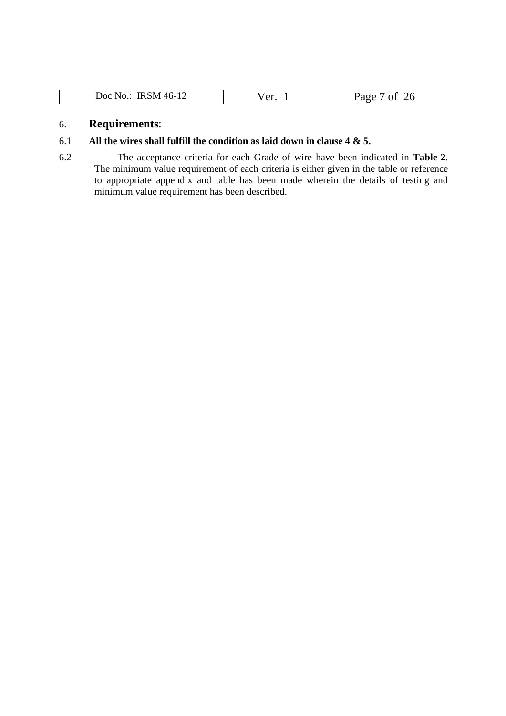| $.46 - 7$<br><b>IRSM</b><br>Doc  <br>No<br><b>TP</b> | سہ ا<br>u. | $P_8$ ge<br>. L<br>∼ |
|------------------------------------------------------|------------|----------------------|

#### 6. **Requirements**:

#### 6.1 **All the wires shall fulfill the condition as laid down in clause 4 & 5.**

6.2 The acceptance criteria for each Grade of wire have been indicated in **Table-2**. The minimum value requirement of each criteria is either given in the table or reference to appropriate appendix and table has been made wherein the details of testing and minimum value requirement has been described.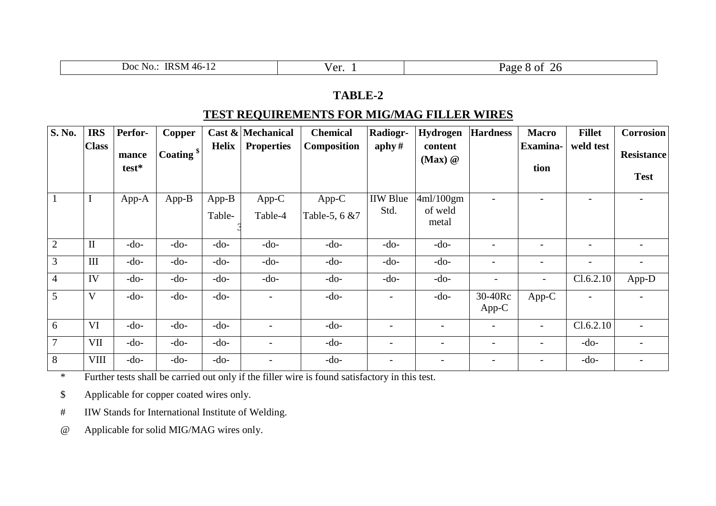| <b>NO.</b><br>D <sub>OC</sub><br>'KS<br>SM<br>$^{\prime}$ . The set of $\sim$<br>- 11 | $1 \Delta r$<br>$\mathbf{u}$ | $\Omega$<br>agt"<br>.<br>$\sim$ |
|---------------------------------------------------------------------------------------|------------------------------|---------------------------------|
|                                                                                       |                              |                                 |

#### **TEST REQUIREMENTS FOR MIG/MAG FILLER WIRES**

| <b>S. No.</b>  | <b>IRS</b>   | Perfor-        | Copper          |                   | Cast $\&$ Mechanical     | <b>Chemical</b>          | Radiogr-                 | Hydrogen                      | <b>Hardness</b>          | <b>Macro</b>             | <b>Fillet</b>            | <b>Corrosion</b>                 |
|----------------|--------------|----------------|-----------------|-------------------|--------------------------|--------------------------|--------------------------|-------------------------------|--------------------------|--------------------------|--------------------------|----------------------------------|
|                | <b>Class</b> | mance<br>test* | $ $ Coating $ $ | Helix             | <b>Properties</b>        | <b>Composition</b>       | $\alpha$ aphy#           | content<br>$(Max)$ $@$        |                          | <b>Examina-</b><br>tion  | weld test                | <b>Resistance</b><br><b>Test</b> |
|                | I            | App-A          | $App-B$         | $App-B$<br>Table- | App-C<br>Table-4         | $App-C$<br>Table-5, 6 &7 | <b>IIW</b> Blue<br>Std.  | 4ml/100gm<br>of weld<br>metal |                          | $\overline{\phantom{0}}$ |                          | $\overline{\phantom{0}}$         |
| $\overline{2}$ | $\mathbf{I}$ | $-do-$         | $-do-$          | $-do-$            | $-do-$                   | $-do-$                   | $-do-$                   | $-do-$                        |                          | $\overline{a}$           | $\overline{\phantom{a}}$ | $\overline{\phantom{a}}$         |
| 3              | III          | $-do-$         | $-do-$          | $-do-$            | $-do-$                   | $-do-$                   | $-do-$                   | $-do-$                        |                          | $\overline{\phantom{a}}$ | $\overline{\phantom{m}}$ | $\overline{\phantom{a}}$         |
| $\overline{4}$ | IV           | $-do-$         | $-do-$          | $-do-$            | $-do-$                   | $-do-$                   | $-do-$                   | $-do-$                        |                          |                          | Cl.6.2.10                | App-D                            |
| $\overline{5}$ | V            | $-do-$         | $-do-$          | $-do-$            |                          | $-do-$                   | $\overline{a}$           | $-do-$                        | 30-40Rc<br>$App-C$       | App-C                    |                          |                                  |
| 6              | VI           | $-do-$         | $-do-$          | $-do-$            |                          | $-do-$                   | -                        |                               |                          | $\overline{\phantom{a}}$ | Cl.6.2.10                |                                  |
| $\overline{7}$ | <b>VII</b>   | $-do-$         | $-do-$          | $-do-$            | $\overline{\phantom{0}}$ | $-do-$                   | $\overline{\phantom{0}}$ | $\overline{\phantom{a}}$      | $\overline{\phantom{a}}$ | $\overline{\phantom{a}}$ | $-do-$                   | $\overline{\phantom{a}}$         |
| 8              | <b>VIII</b>  | $-do-$         | $-do-$          | $-do-$            |                          | $-do-$                   | $\overline{a}$           |                               |                          |                          | $-do-$                   |                                  |

\* Further tests shall be carried out only if the filler wire is found satisfactory in this test.

\$ Applicable for copper coated wires only.

# IIW Stands for International Institute of Welding.

@ Applicable for solid MIG/MAG wires only.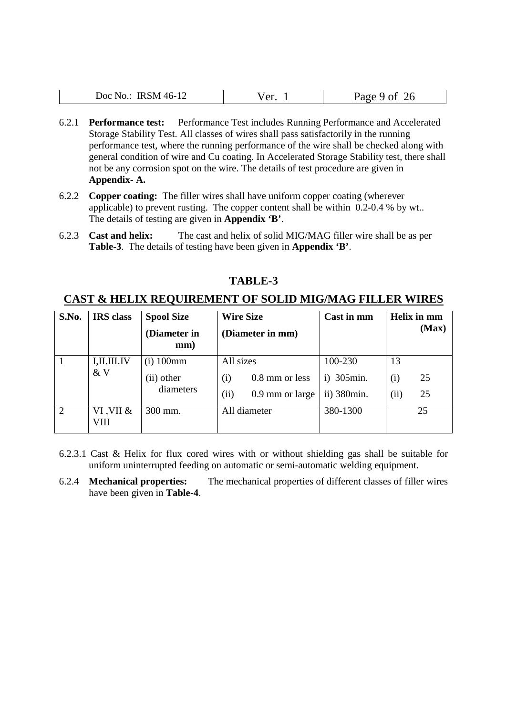| IRSM 46-12  | √er | 26        |
|-------------|-----|-----------|
| Doc $No.$ : | u.  | Page 9 of |

- 6.2.1 **Performance test:** Performance Test includes Running Performance and Accelerated Storage Stability Test. All classes of wires shall pass satisfactorily in the running performance test, where the running performance of the wire shall be checked along with general condition of wire and Cu coating. In Accelerated Storage Stability test, there shall not be any corrosion spot on the wire. The details of test procedure are given in **Appendix- A.**
- 6.2.2 **Copper coating:** The filler wires shall have uniform copper coating (wherever applicable) to prevent rusting. The copper content shall be within 0.2-0.4 % by wt.. The details of testing are given in **Appendix 'B'**.
- 6.2.3 **Cast and helix:** The cast and helix of solid MIG/MAG filler wire shall be as per **Table-3**. The details of testing have been given in **Appendix 'B'**.

| S.No. | <b>IRS</b> class  | <b>Spool Size</b><br>(Diameter in<br>mm) | <b>Wire Size</b><br>(Diameter in mm) | Cast in mm    | Helix in mm<br>(Max) |
|-------|-------------------|------------------------------------------|--------------------------------------|---------------|----------------------|
|       | I, II. III. IV    | $(i)$ 100 $mm$                           | All sizes                            | 100-230       | 13                   |
|       | &V                | (ii) other                               | 0.8 mm or less<br>(i)                | 305min.<br>i) | 25<br>(i)            |
|       |                   | diameters                                | (ii)<br>0.9 mm or large              | ii) 380min.   | 25<br>(ii)           |
| 2     | VI, VII &<br>VIII | 300 mm.                                  | All diameter                         | 380-1300      | 25                   |

#### **CAST & HELIX REQUIREMENT OF SOLID MIG/MAG FILLER WIRES**

- 6.2.3.1 Cast & Helix for flux cored wires with or without shielding gas shall be suitable for uniform uninterrupted feeding on automatic or semi-automatic welding equipment.
- 6.2.4 **Mechanical properties:** The mechanical properties of different classes of filler wires have been given in **Table-4**.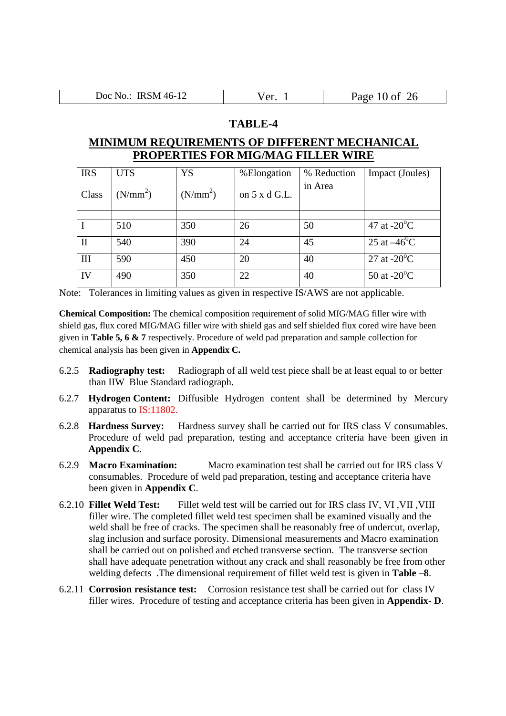| Doc No.: IRSM 46-12 | $\sqrt{er}$<br>u. | Page 10 of $26$ |
|---------------------|-------------------|-----------------|

#### **MINIMUM REQUIREMENTS OF DIFFERENT MECHANICAL PROPERTIES FOR MIG/MAG FILLER WIRE**

| <b>IRS</b>     | <b>UTS</b> | YS         | %Elongation          | % Reduction | Impact (Joules)                 |
|----------------|------------|------------|----------------------|-------------|---------------------------------|
| Class          | $(N/mm^2)$ | $(N/mm^2)$ | on $5 \times d$ G.L. | in Area     |                                 |
|                |            |            |                      |             |                                 |
|                | 510        | 350        | 26                   | 50          | 47 at $-20^{\circ}$ C           |
| $\mathbf{I}$   | 540        | 390        | 24                   | 45          | 25 at $-46^{\circ}\overline{C}$ |
| III            | 590        | 450        | 20                   | 40          | 27 at $-20^{\circ}$ C           |
| IV <sub></sub> | 490        | 350        | 22                   | 40          | 50 at $-20^{\circ}$ C           |

Note: Tolerances in limiting values as given in respective IS/AWS are not applicable.

**Chemical Composition:** The chemical composition requirement of solid MIG/MAG filler wire with shield gas, flux cored MIG/MAG filler wire with shield gas and self shielded flux cored wire have been given in **Table 5, 6 & 7** respectively. Procedure of weld pad preparation and sample collection for chemical analysis has been given in **Appendix C.**

- 6.2.5 **Radiography test:** Radiograph of all weld test piece shall be at least equal to or better than IIW Blue Standard radiograph.
- 6.2.7 **Hydrogen Content:** Diffusible Hydrogen content shall be determined by Mercury apparatus to IS:11802.
- 6.2.8 **Hardness Survey:** Hardness survey shall be carried out for IRS class V consumables. Procedure of weld pad preparation, testing and acceptance criteria have been given in **Appendix C**.
- 6.2.9 **Macro Examination:** Macro examination test shall be carried out for IRS class V consumables. Procedure of weld pad preparation, testing and acceptance criteria have been given in **Appendix C**.
- 6.2.10 **Fillet Weld Test:** Fillet weld test will be carried out for IRS class IV, VI ,VII ,VIII filler wire. The completed fillet weld test specimen shall be examined visually and the weld shall be free of cracks. The specimen shall be reasonably free of undercut, overlap, slag inclusion and surface porosity. Dimensional measurements and Macro examination shall be carried out on polished and etched transverse section. The transverse section shall have adequate penetration without any crack and shall reasonably be free from other welding defects .The dimensional requirement of fillet weld test is given in **Table –8**.
- 6.2.11 **Corrosion resistance test:** Corrosion resistance test shall be carried out for class IV filler wires. Procedure of testing and acceptance criteria has been given in **Appendix- D**.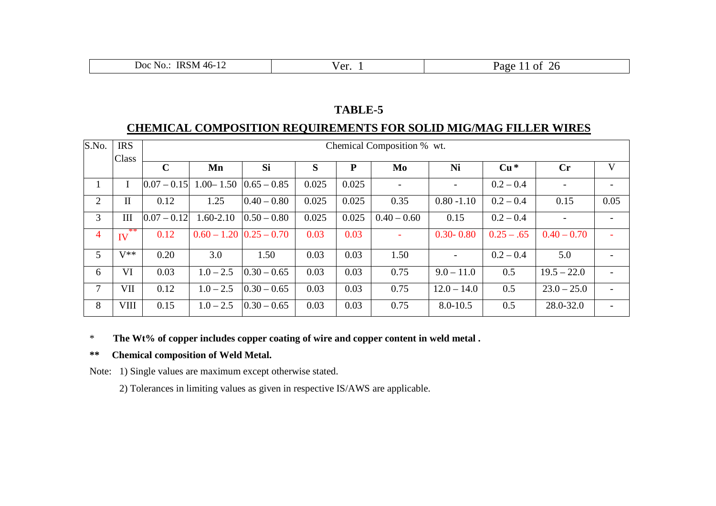| $\omega$ oc<br>INO.<br>$\mathbf{r}$<br>. .<br>. . |  | Ωt<br>. |
|---------------------------------------------------|--|---------|
|---------------------------------------------------|--|---------|

#### **CHEMICAL COMPOSITION REQUIREMENTS FOR SOLID MIG/MAG FILLER WIRES**

| S.No.          | <b>IRS</b>   |               | Chemical Composition % wt. |                                |       |       |               |               |              |                        |      |  |
|----------------|--------------|---------------|----------------------------|--------------------------------|-------|-------|---------------|---------------|--------------|------------------------|------|--|
|                | Class        | $\mathbf C$   | Mn                         | Si                             | S     | P     | Mo            | Ni            | $Cu*$        | $\mathbf{C}\mathbf{r}$ | V    |  |
| $\mathbf{1}$   | I            | $0.07 - 0.15$ | $1.00 - 1.50$              | $0.65 - 0.85$                  | 0.025 | 0.025 |               |               | $0.2 - 0.4$  |                        |      |  |
| 2              | $\mathbf{I}$ | 0.12          | 1.25                       | $0.40 - 0.80$                  | 0.025 | 0.025 | 0.35          | $0.80 - 1.10$ | $0.2 - 0.4$  | 0.15                   | 0.05 |  |
| 3              | III          | $0.07 - 0.12$ | $1.60 - 2.10$              | $0.50 - 0.80$                  | 0.025 | 0.025 | $0.40 - 0.60$ | 0.15          | $0.2 - 0.4$  |                        |      |  |
| $\overline{4}$ | **<br>IV     | 0.12          |                            | $0.60 - 1.20 \mid 0.25 - 0.70$ | 0.03  | 0.03  |               | $0.30 - 0.80$ | $0.25 - .65$ | $0.40 - 0.70$          |      |  |
| 5              | $V^{**}$     | 0.20          | 3.0                        | 1.50                           | 0.03  | 0.03  | 1.50          |               | $0.2 - 0.4$  | 5.0                    |      |  |
| 6              | VI           | 0.03          | $1.0 - 2.5$                | $0.30 - 0.65$                  | 0.03  | 0.03  | 0.75          | $9.0 - 11.0$  | 0.5          | $19.5 - 22.0$          |      |  |
| 7              | VII          | 0.12          | $1.0 - 2.5$                | $0.30 - 0.65$                  | 0.03  | 0.03  | 0.75          | $12.0 - 14.0$ | 0.5          | $23.0 - 25.0$          |      |  |
| 8              | <b>VIII</b>  | 0.15          | $1.0 - 2.5$                | $ 0.30 - 0.65 $                | 0.03  | 0.03  | 0.75          | $8.0 - 10.5$  | 0.5          | 28.0-32.0              |      |  |

#### \* **The Wt% of copper includes copper coating of wire and copper content in weld metal .**

#### **\*\* Chemical composition of Weld Metal.**

Note: 1) Single values are maximum except otherwise stated.

2) Tolerances in limiting values as given in respective IS/AWS are applicable.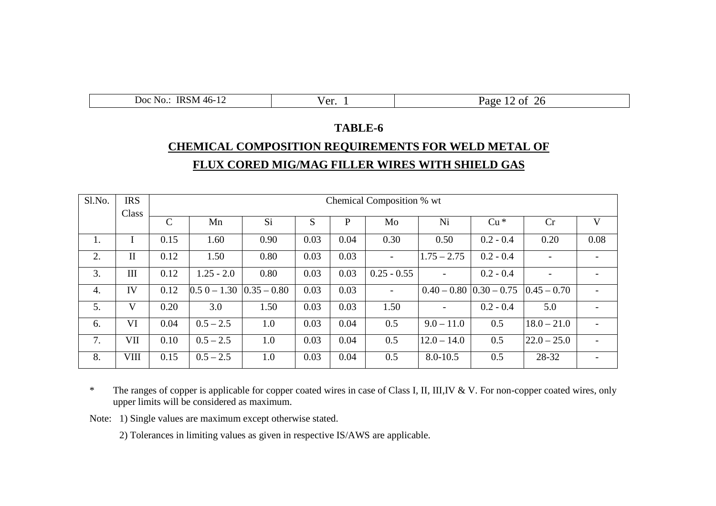| .                                                            |                                               |                                                           |
|--------------------------------------------------------------|-----------------------------------------------|-----------------------------------------------------------|
| N <sub>O</sub><br>JOC<br>$\cdot$ IVI.<br>$\mathbf{u}$<br>. . | $1 \wedge v$<br>$\mathbf{u} \cdot \mathbf{r}$ | O1<br>. .<br>. .<br>.<br>$\alpha$<br>$\sqrt{2}$<br>$\sim$ |

# **TABLE-6 CHEMICAL COMPOSITION REQUIREMENTS FOR WELD METAL OF FLUX CORED MIG/MAG FILLER WIRES WITH SHIELD GAS**

| Sl.No. | <b>IRS</b>         |               | Chemical Composition % wt |               |      |      |                |               |                               |                 |      |
|--------|--------------------|---------------|---------------------------|---------------|------|------|----------------|---------------|-------------------------------|-----------------|------|
|        | Class              | $\mathcal{C}$ | Mn                        | Si            | S    | P    | Mo             | Ni            | $Cu*$                         | Cr              | V    |
| 1.     |                    | 0.15          | 1.60                      | 0.90          | 0.03 | 0.04 | 0.30           | 0.50          | $0.2 - 0.4$                   | 0.20            | 0.08 |
| 2.     | $\mathbf{I}$       | 0.12          | 1.50                      | 0.80          | 0.03 | 0.03 | $\blacksquare$ | $1.75 - 2.75$ | $0.2 - 0.4$                   |                 |      |
| 3.     | $\mathop{\rm III}$ | 0.12          | $1.25 - 2.0$              | 0.80          | 0.03 | 0.03 | $0.25 - 0.55$  |               | $0.2 - 0.4$                   |                 |      |
| 4.     | IV                 | 0.12          | $0.50 - 1.30$             | $0.35 - 0.80$ | 0.03 | 0.03 | $\overline{a}$ |               | $0.40 - 0.80$ $ 0.30 - 0.75 $ | $0.45 - 0.70$   |      |
| 5.     | V                  | 0.20          | 3.0                       | 1.50          | 0.03 | 0.03 | 1.50           |               | $0.2 - 0.4$                   | 5.0             |      |
| 6.     | VI                 | 0.04          | $0.5 - 2.5$               | 1.0           | 0.03 | 0.04 | 0.5            | $9.0 - 11.0$  | 0.5                           | $18.0 - 21.0$   |      |
| 7.     | VII                | 0.10          | $0.5 - 2.5$               | 1.0           | 0.03 | 0.04 | 0.5            | $12.0 - 14.0$ | 0.5                           | $ 22.0 - 25.0 $ |      |
| 8.     | <b>VIII</b>        | 0.15          | $0.5 - 2.5$               | 1.0           | 0.03 | 0.04 | 0.5            | $8.0 - 10.5$  | 0.5                           | 28-32           |      |

\* The ranges of copper is applicable for copper coated wires in case of Class I, II, III,IV & V. For non-copper coated wires, only upper limits will be considered as maximum.

Note: 1) Single values are maximum except otherwise stated.

2) Tolerances in limiting values as given in respective IS/AWS are applicable.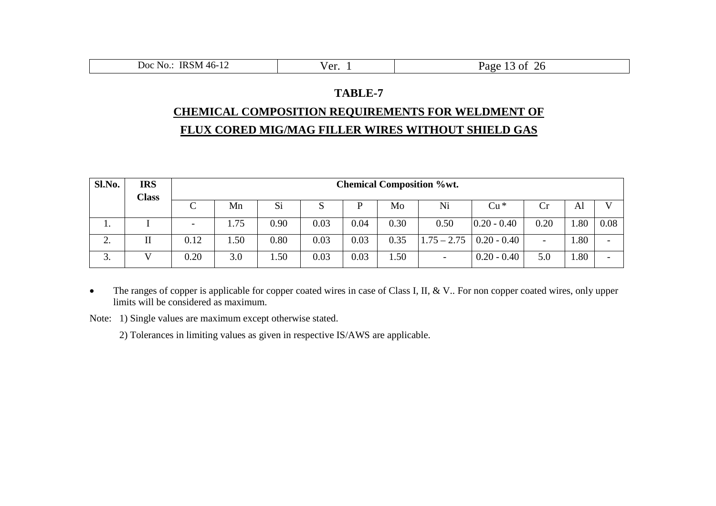| ---<br>$\overline{\phantom{a}}$                                    |                                 |                                  |
|--------------------------------------------------------------------|---------------------------------|----------------------------------|
| IRSM-<br>N <sub>O</sub> .<br>$\overline{\text{Doc}}$<br>$140 - 12$ | $\sqrt{2r}$<br>$\mathsf{U}$ . 1 | $\mathbf{a}$<br>26<br>-01<br>aee |

#### **CHEMICAL COMPOSITION REQUIREMENTS FOR WELDMENT OF**

#### **FLUX CORED MIG/MAG FILLER WIRES WITHOUT SHIELD GAS**

| Sl.No.       | <b>IRS</b><br><b>Class</b> |                          | <b>Chemical Composition %wt.</b> |      |      |      |      |                          |               |                          |      |                          |
|--------------|----------------------------|--------------------------|----------------------------------|------|------|------|------|--------------------------|---------------|--------------------------|------|--------------------------|
|              |                            | C                        | Mn                               | Si   | S    | D    | Mo   | Ni                       | $Cu*$         | Cr                       | Al   | $\mathbf{V}$             |
| . .          |                            | $\overline{\phantom{a}}$ | 1.75                             | 0.90 | 0.03 | 0.04 | 0.30 | 0.50                     | $0.20 - 0.40$ | 0.20                     | 1.80 | 0.08                     |
| ◠<br>∠.      | П                          | 0.12                     | . 50                             | 0.80 | 0.03 | 0.03 | 0.35 | $1.75 - 2.75$            | $0.20 - 0.40$ | $\overline{\phantom{a}}$ | 1.80 | $\overline{\phantom{0}}$ |
| $\sim$<br>э. |                            | 0.20                     | 3.0                              | 1.50 | 0.03 | 0.03 | .50  | $\overline{\phantom{0}}$ | $0.20 - 0.40$ | 5.0                      | 1.80 | $\overline{\phantom{0}}$ |

• The ranges of copper is applicable for copper coated wires in case of Class I, II, & V.. For non copper coated wires, only upper limits will be considered as maximum.

Note: 1) Single values are maximum except otherwise stated.

2) Tolerances in limiting values as given in respective IS/AWS are applicable.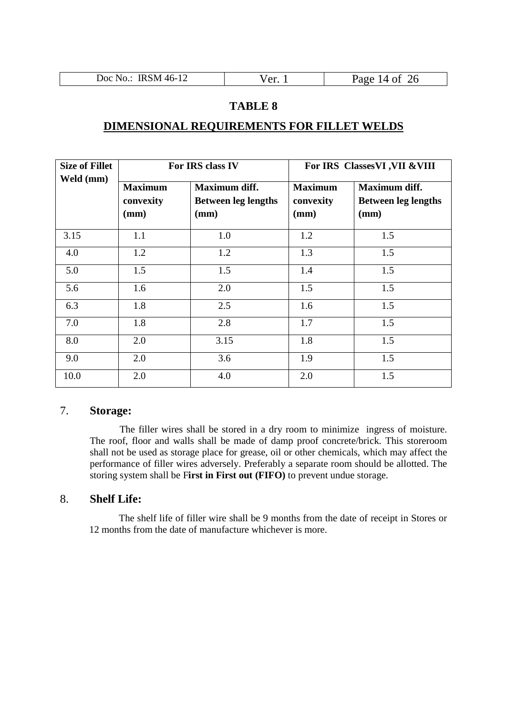| Doc No.: IRSM 46-12<br>$\sqrt{e^{r}}$ | Page 14 of 26 |
|---------------------------------------|---------------|
|---------------------------------------|---------------|

#### **DIMENSIONAL REQUIREMENTS FOR FILLET WELDS**

| <b>Size of Fillet</b><br>Weld (mm) |                                     | For IRS class IV                                    | For IRS Classes VI , VII & VIII     |                                                     |  |
|------------------------------------|-------------------------------------|-----------------------------------------------------|-------------------------------------|-----------------------------------------------------|--|
|                                    | <b>Maximum</b><br>convexity<br>(mm) | Maximum diff.<br><b>Between leg lengths</b><br>(mm) | <b>Maximum</b><br>convexity<br>(mm) | Maximum diff.<br><b>Between leg lengths</b><br>(mm) |  |
| 3.15                               | 1.1                                 | 1.0                                                 | 1.2                                 | 1.5                                                 |  |
| 4.0                                | 1.2                                 | 1.2                                                 | 1.3                                 | 1.5                                                 |  |
| 5.0                                | 1.5                                 | 1.5                                                 | 1.4                                 | 1.5                                                 |  |
| 5.6                                | 1.6                                 | 2.0                                                 | 1.5                                 | 1.5                                                 |  |
| 6.3                                | 1.8                                 | 2.5                                                 | 1.6                                 | 1.5                                                 |  |
| 7.0                                | 1.8                                 | 2.8                                                 | 1.7                                 | 1.5                                                 |  |
| 8.0                                | 2.0                                 | 3.15                                                | 1.8                                 | 1.5                                                 |  |
| 9.0                                | 2.0                                 | 3.6                                                 | 1.9                                 | 1.5                                                 |  |
| 10.0                               | 2.0                                 | 4.0                                                 | 2.0                                 | 1.5                                                 |  |

#### 7. **Storage:**

The filler wires shall be stored in a dry room to minimize ingress of moisture. The roof, floor and walls shall be made of damp proof concrete/brick. This storeroom shall not be used as storage place for grease, oil or other chemicals, which may affect the performance of filler wires adversely. Preferably a separate room should be allotted. The storing system shall be F**irst in First out (FIFO)** to prevent undue storage.

#### 8. **Shelf Life:**

The shelf life of filler wire shall be 9 months from the date of receipt in Stores or 12 months from the date of manufacture whichever is more.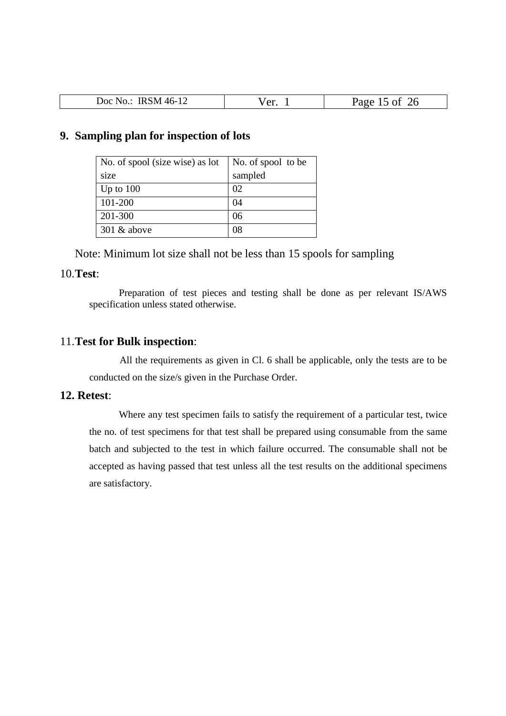| <b>IRSM</b><br>$.146 - 1$<br>Doc No.: | $\mathbf{r}$<br>u. | つん<br>$\sim$ $\sim$ $\sim$<br>''JUFA<br>∠∪ |
|---------------------------------------|--------------------|--------------------------------------------|

#### **9. Sampling plan for inspection of lots**

| No. of spool (size wise) as lot | No. of spool to be |
|---------------------------------|--------------------|
| size                            | sampled            |
| Up to $100$                     | 02                 |
| 101-200                         | 04                 |
| 201-300                         | 06                 |
| $301 \&$ above                  | 08                 |

Note: Minimum lot size shall not be less than 15 spools for sampling

#### 10.**Test**:

Preparation of test pieces and testing shall be done as per relevant IS/AWS specification unless stated otherwise.

#### 11.**Test for Bulk inspection**:

All the requirements as given in Cl. 6 shall be applicable, only the tests are to be conducted on the size/s given in the Purchase Order.

#### **12. Retest**:

Where any test specimen fails to satisfy the requirement of a particular test, twice the no. of test specimens for that test shall be prepared using consumable from the same batch and subjected to the test in which failure occurred. The consumable shall not be accepted as having passed that test unless all the test results on the additional specimens are satisfactory.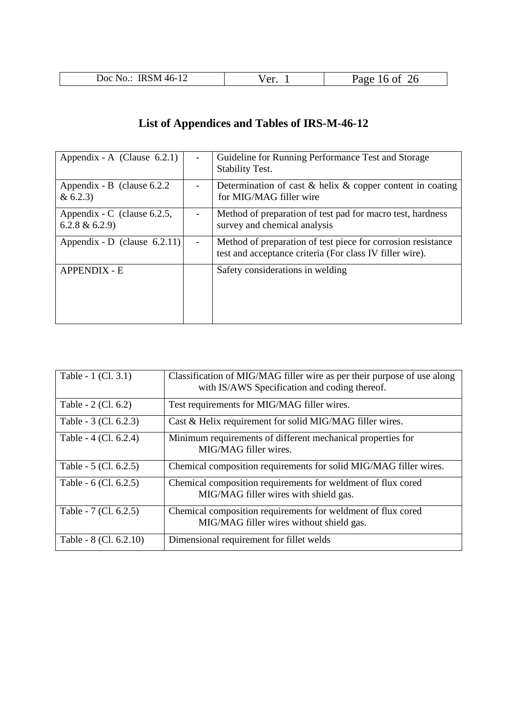| ഹ<br>. .<br>. IVI<br>л.<br>--<br> | $\alpha r$<br>⁄⊥ |  |
|-----------------------------------|------------------|--|
|                                   |                  |  |

# **List of Appendices and Tables of IRS-M-46-12**

| Appendix - A (Clause $6.2.1$ )                     | $\overline{\phantom{a}}$ | Guideline for Running Performance Test and Storage<br><b>Stability Test.</b>                                             |
|----------------------------------------------------|--------------------------|--------------------------------------------------------------------------------------------------------------------------|
| Appendix - B (clause $6.2.2$ )<br>& 6.2.3)         |                          | Determination of cast $\&$ helix $\&$ copper content in coating<br>for MIG/MAG filler wire                               |
| Appendix - C (clause $6.2.5$ ,<br>$6.2.8 \& 6.2.9$ |                          | Method of preparation of test pad for macro test, hardness<br>survey and chemical analysis                               |
| Appendix - D (clause $6.2.11$ )                    |                          | Method of preparation of test piece for corrosion resistance<br>test and acceptance criteria (For class IV filler wire). |
| <b>APPENDIX - E</b>                                |                          | Safety considerations in welding                                                                                         |

| Table - 1 (Cl. 3.1)    | Classification of MIG/MAG filler wire as per their purpose of use along<br>with IS/AWS Specification and coding thereof. |
|------------------------|--------------------------------------------------------------------------------------------------------------------------|
| Table - 2 (Cl. 6.2)    | Test requirements for MIG/MAG filler wires.                                                                              |
| Table - 3 (Cl. 6.2.3)  | Cast & Helix requirement for solid MIG/MAG filler wires.                                                                 |
| Table - 4 (Cl. 6.2.4)  | Minimum requirements of different mechanical properties for<br>MIG/MAG filler wires.                                     |
| Table - 5 (Cl. 6.2.5)  | Chemical composition requirements for solid MIG/MAG filler wires.                                                        |
| Table - 6 (Cl. 6.2.5)  | Chemical composition requirements for weldment of flux cored<br>MIG/MAG filler wires with shield gas.                    |
| Table - 7 (Cl. 6.2.5)  | Chemical composition requirements for weldment of flux cored<br>MIG/MAG filler wires without shield gas.                 |
| Table - 8 (Cl. 6.2.10) | Dimensional requirement for fillet welds                                                                                 |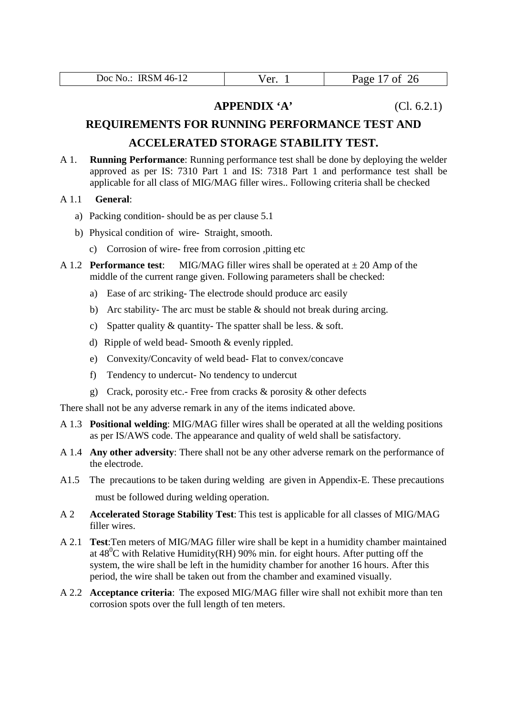|  | IRSM 46-12<br>Doc No.: | Ver. | 26<br>Page<br>Οİ |
|--|------------------------|------|------------------|
|--|------------------------|------|------------------|

#### **APPENDIX 'A'** (Cl. 6.2.1)

#### **REQUIREMENTS FOR RUNNING PERFORMANCE TEST AND**

#### **ACCELERATED STORAGE STABILITY TEST.**

- A 1. **Running Performance**: Running performance test shall be done by deploying the welder approved as per IS: 7310 Part 1 and IS: 7318 Part 1 and performance test shall be applicable for all class of MIG/MAG filler wires.. Following criteria shall be checked
- A 1.1 **General**:
	- a) Packing condition- should be as per clause 5.1
	- b) Physical condition of wire- Straight, smooth.
		- c) Corrosion of wire- free from corrosion ,pitting etc
- A 1.2 **Performance test:** MIG/MAG filler wires shall be operated at  $\pm 20$  Amp of the middle of the current range given. Following parameters shall be checked:
	- a) Ease of arc striking- The electrode should produce arc easily
	- b) Arc stability- The arc must be stable & should not break during arcing.
	- c) Spatter quality & quantity- The spatter shall be less. & soft.
	- d) Ripple of weld bead- Smooth & evenly rippled.
	- e) Convexity/Concavity of weld bead- Flat to convex/concave
	- f) Tendency to undercut- No tendency to undercut
	- g) Crack, porosity etc.- Free from cracks & porosity & other defects

There shall not be any adverse remark in any of the items indicated above.

- A 1.3 **Positional welding**: MIG/MAG filler wires shall be operated at all the welding positions as per IS/AWS code. The appearance and quality of weld shall be satisfactory.
- A 1.4 **Any other adversity**: There shall not be any other adverse remark on the performance of the electrode.
- A1.5 The precautions to be taken during welding are given in Appendix-E. These precautions must be followed during welding operation.
- A 2 **Accelerated Storage Stability Test**: This test is applicable for all classes of MIG/MAG filler wires.
- A 2.1 **Test**:Ten meters of MIG/MAG filler wire shall be kept in a humidity chamber maintained at  $48^{\circ}$ C with Relative Humidity(RH) 90% min. for eight hours. After putting off the system, the wire shall be left in the humidity chamber for another 16 hours. After this period, the wire shall be taken out from the chamber and examined visually.
- A 2.2 **Acceptance criteria**: The exposed MIG/MAG filler wire shall not exhibit more than ten corrosion spots over the full length of ten meters.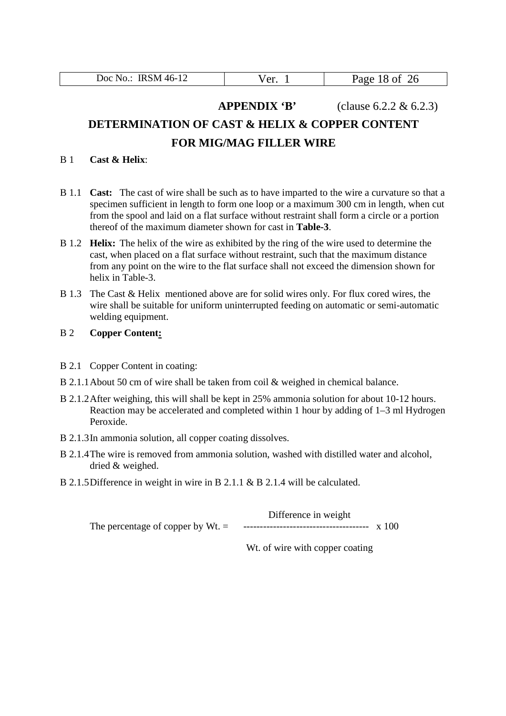|  | RSM 46-12<br>Doc $No.$ : | Ver. | Page<br>18 of 26 |
|--|--------------------------|------|------------------|
|--|--------------------------|------|------------------|

**APPENDIX 'B'** (clause 6.2.2 & 6.2.3)

### **DETERMINATION OF CAST & HELIX & COPPER CONTENT FOR MIG/MAG FILLER WIRE**

#### B 1 **Cast & Helix**:

- B 1.1 **Cast:** The cast of wire shall be such as to have imparted to the wire a curvature so that a specimen sufficient in length to form one loop or a maximum 300 cm in length, when cut from the spool and laid on a flat surface without restraint shall form a circle or a portion thereof of the maximum diameter shown for cast in **Table-3**.
- B 1.2 **Helix:** The helix of the wire as exhibited by the ring of the wire used to determine the cast, when placed on a flat surface without restraint, such that the maximum distance from any point on the wire to the flat surface shall not exceed the dimension shown for helix in Table-3.
- B 1.3 The Cast & Helix mentioned above are for solid wires only. For flux cored wires, the wire shall be suitable for uniform uninterrupted feeding on automatic or semi-automatic welding equipment.

#### B 2 **Copper Content:**

- B 2.1 Copper Content in coating:
- B 2.1.1About 50 cm of wire shall be taken from coil & weighed in chemical balance.
- B 2.1.2After weighing, this will shall be kept in 25% ammonia solution for about 10-12 hours. Reaction may be accelerated and completed within 1 hour by adding of 1–3 ml Hydrogen Peroxide.
- B 2.1.3In ammonia solution, all copper coating dissolves.
- B 2.1.4The wire is removed from ammonia solution, washed with distilled water and alcohol, dried & weighed.
- B 2.1.5Difference in weight in wire in B 2.1.1 & B 2.1.4 will be calculated.

|                                    | Difference in weight |  |
|------------------------------------|----------------------|--|
| The percentage of copper by $Wt =$ |                      |  |

Wt. of wire with copper coating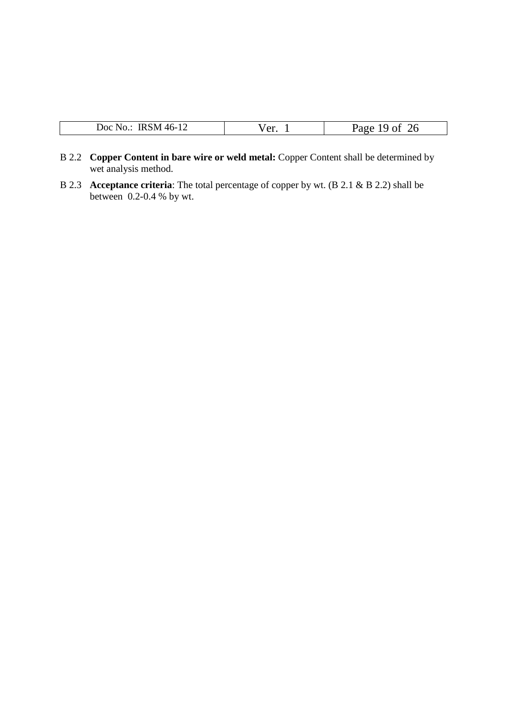- B 2.2 **Copper Content in bare wire or weld metal:** Copper Content shall be determined by wet analysis method.
- B 2.3 **Acceptance criteria**: The total percentage of copper by wt. (B 2.1 & B 2.2) shall be between 0.2-0.4 % by wt.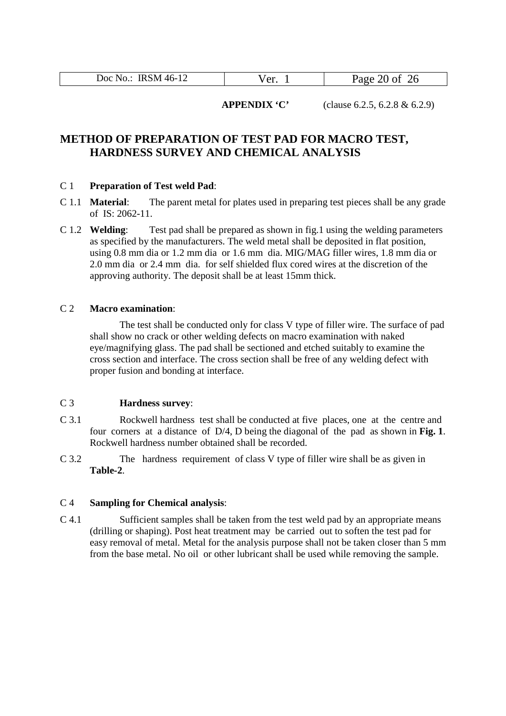| Doc No.: IRSM 46-12<br>Page 20 of 26<br>Ver. |
|----------------------------------------------|
|----------------------------------------------|

**APPENDIX 'C'** (clause 6.2.5, 6.2.8 & 6.2.9)

#### **METHOD OF PREPARATION OF TEST PAD FOR MACRO TEST, HARDNESS SURVEY AND CHEMICAL ANALYSIS**

#### C 1 **Preparation of Test weld Pad**:

- C 1.1 **Material**: The parent metal for plates used in preparing test pieces shall be any grade of IS: 2062-11.
- C 1.2 **Welding**: Test pad shall be prepared as shown in fig.1 using the welding parameters as specified by the manufacturers. The weld metal shall be deposited in flat position, using 0.8 mm dia or 1.2 mm dia or 1.6 mm dia. MIG/MAG filler wires, 1.8 mm dia or 2.0 mm dia or 2.4 mm dia. for self shielded flux cored wires at the discretion of the approving authority. The deposit shall be at least 15mm thick.

#### C 2 **Macro examination**:

The test shall be conducted only for class V type of filler wire. The surface of pad shall show no crack or other welding defects on macro examination with naked eye/magnifying glass. The pad shall be sectioned and etched suitably to examine the cross section and interface. The cross section shall be free of any welding defect with proper fusion and bonding at interface.

#### C 3 **Hardness survey**:

- C 3.1 Rockwell hardness test shall be conducted at five places, one at the centre and four corners at a distance of D/4, D being the diagonal of the pad as shown in **Fig. 1**. Rockwell hardness number obtained shall be recorded.
- C 3.2 The hardness requirement of class V type of filler wire shall be as given in **Table-2**.

#### C 4 **Sampling for Chemical analysis**:

C 4.1 Sufficient samples shall be taken from the test weld pad by an appropriate means (drilling or shaping). Post heat treatment may be carried out to soften the test pad for easy removal of metal. Metal for the analysis purpose shall not be taken closer than 5 mm from the base metal. No oil or other lubricant shall be used while removing the sample.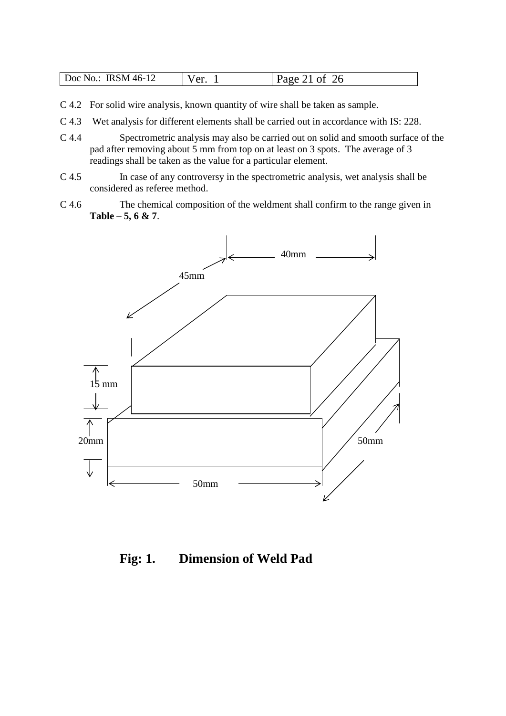| $IRSM46-1$<br>Doc No.:<br><b>TIMATIE</b> | r آم | -46<br>$\sim$ |
|------------------------------------------|------|---------------|
|------------------------------------------|------|---------------|

- C 4.2 For solid wire analysis, known quantity of wire shall be taken as sample.
- C 4.3 Wet analysis for different elements shall be carried out in accordance with IS: 228.
- C 4.4 Spectrometric analysis may also be carried out on solid and smooth surface of the pad after removing about 5 mm from top on at least on 3 spots. The average of 3 readings shall be taken as the value for a particular element.
- C 4.5 In case of any controversy in the spectrometric analysis, wet analysis shall be considered as referee method.
- C 4.6 The chemical composition of the weldment shall confirm to the range given in **Table – 5, 6 & 7**.



**Fig: 1. Dimension of Weld Pad**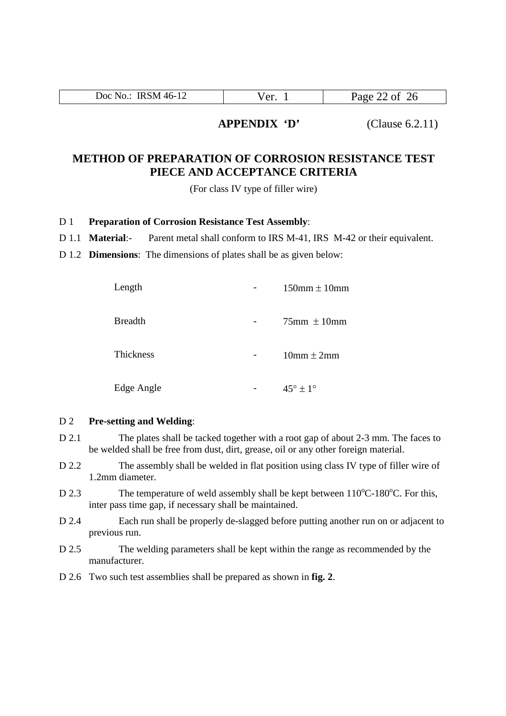| IRSM 46-12<br>Doc $No.$ : | $\sim$ | of 26<br>$P_0$ ge<br>$\mathbf{u}$ $\mathbf{u}$ |
|---------------------------|--------|------------------------------------------------|

#### **APPENDIX 'D'** (Clause 6.2.11)

#### **METHOD OF PREPARATION OF CORROSION RESISTANCE TEST PIECE AND ACCEPTANCE CRITERIA**

(For class IV type of filler wire)

#### D 1 **Preparation of Corrosion Resistance Test Assembly**:

- D 1.1 **Material**:- Parent metal shall conform to IRS M-41, IRS M-42 or their equivalent.
- D 1.2 **Dimensions**: The dimensions of plates shall be as given below:

| Length         | $150$ mm $\pm 10$ mm     |
|----------------|--------------------------|
| <b>Breadth</b> | $75$ mm $\pm 10$ mm      |
| Thickness      | $10mm \pm 2mm$           |
| Edge Angle     | $45^{\circ} + 1^{\circ}$ |

#### D 2 **Pre-setting and Welding**:

- D 2.1 The plates shall be tacked together with a root gap of about 2-3 mm. The faces to be welded shall be free from dust, dirt, grease, oil or any other foreign material.
- D 2.2 The assembly shall be welded in flat position using class IV type of filler wire of 1.2mm diameter.
- D 2.3 The temperature of weld assembly shall be kept between  $110^{\circ}$ C-180 $^{\circ}$ C. For this, inter pass time gap, if necessary shall be maintained.
- D 2.4 Each run shall be properly de-slagged before putting another run on or adjacent to previous run.
- D 2.5 The welding parameters shall be kept within the range as recommended by the manufacturer.
- D 2.6 Two such test assemblies shall be prepared as shown in **fig. 2**.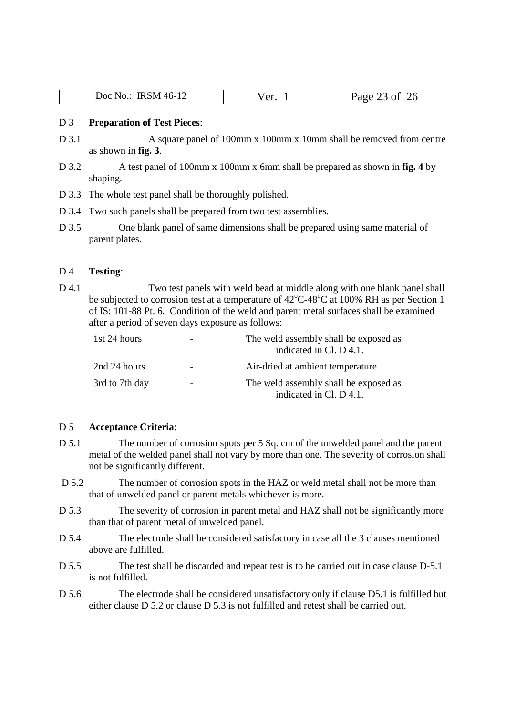| <b>IRSM 46-12</b><br>Doc No.: | $\sqrt{2r}$<br>$\mathbf{u}$ | 26<br>Page<br>-- |
|-------------------------------|-----------------------------|------------------|

#### D 3 **Preparation of Test Pieces**:

- D 3.1 A square panel of 100mm x 100mm x 10mm shall be removed from centre as shown in **fig. 3**.
- D 3.2 A test panel of 100mm x 100mm x 6mm shall be prepared as shown in **fig. 4** by shaping.
- D 3.3 The whole test panel shall be thoroughly polished.
- D 3.4 Two such panels shall be prepared from two test assemblies.
- D 3.5 One blank panel of same dimensions shall be prepared using same material of parent plates.

#### D 4 **Testing**:

D 4.1 Two test panels with weld bead at middle along with one blank panel shall be subjected to corrosion test at a temperature of  $42^{\circ}$ C-48<sup>o</sup>C at 100% RH as per Section 1 of IS: 101-88 Pt. 6. Condition of the weld and parent metal surfaces shall be examined after a period of seven days exposure as follows:

| 1st 24 hours   |                          | The weld assembly shall be exposed as<br>indicated in Cl. D 4.1. |  |
|----------------|--------------------------|------------------------------------------------------------------|--|
| 2nd 24 hours   |                          | Air-dried at ambient temperature.                                |  |
| 3rd to 7th day | $\overline{\phantom{0}}$ | The weld assembly shall be exposed as<br>indicated in Cl. D 4.1. |  |

#### D 5 **Acceptance Criteria**:

- D 5.1 The number of corrosion spots per 5 Sq. cm of the unwelded panel and the parent metal of the welded panel shall not vary by more than one. The severity of corrosion shall not be significantly different.
- D 5.2 The number of corrosion spots in the HAZ or weld metal shall not be more than that of unwelded panel or parent metals whichever is more.
- D 5.3 The severity of corrosion in parent metal and HAZ shall not be significantly more than that of parent metal of unwelded panel.
- D 5.4 The electrode shall be considered satisfactory in case all the 3 clauses mentioned above are fulfilled.
- D 5.5 The test shall be discarded and repeat test is to be carried out in case clause D-5.1 is not fulfilled.
- D 5.6 The electrode shall be considered unsatisfactory only if clause D5.1 is fulfilled but either clause D 5.2 or clause D 5.3 is not fulfilled and retest shall be carried out.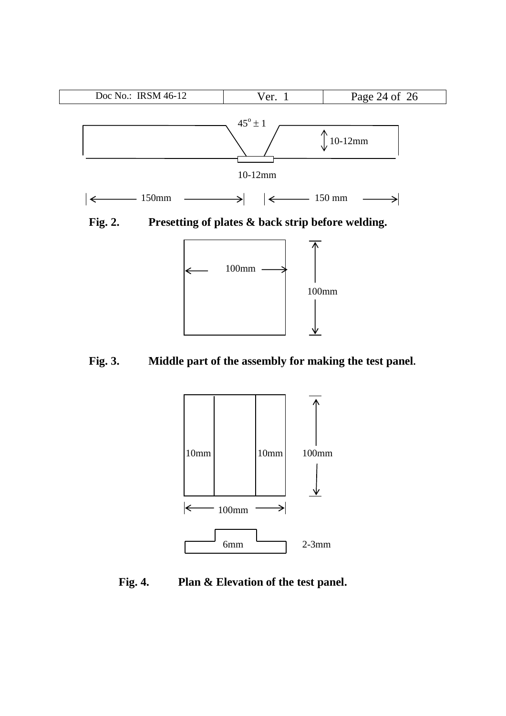



**Fig. 3. Middle part of the assembly for making the test panel.**



**Fig. 4. Plan & Elevation of the test panel.**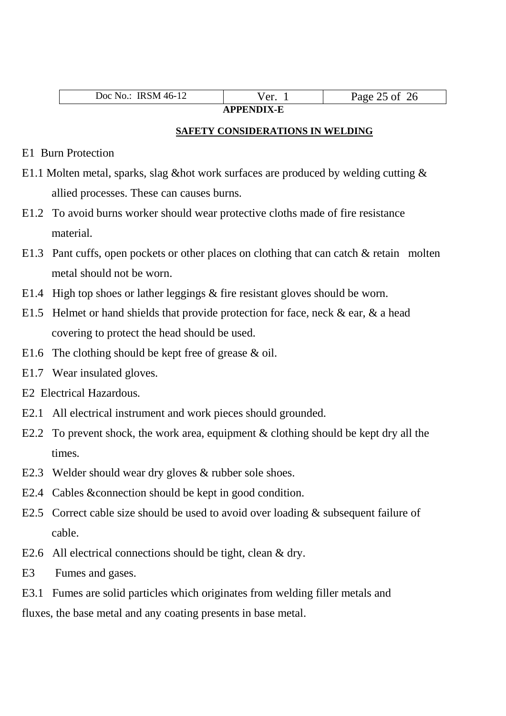| ിറ $\epsilon$<br>$46-7$<br>.MI<br>∸<br>, ,, <i>,,</i> ,,,<br>. . | ۰٬۵۲<br>u.<br>- | $\alpha$ |  |
|------------------------------------------------------------------|-----------------|----------|--|
| . <del>.</del> .                                                 |                 |          |  |

# **APPENDIX-E**

#### **SAFETY CONSIDERATIONS IN WELDING**

- E1 Burn Protection
- E1.1 Molten metal, sparks, slag &hot work surfaces are produced by welding cutting & allied processes. These can causes burns.
- E1.2 To avoid burns worker should wear protective cloths made of fire resistance material.
- E1.3 Pant cuffs, open pockets or other places on clothing that can catch & retain molten metal should not be worn.
- E1.4 High top shoes or lather leggings & fire resistant gloves should be worn.
- E1.5 Helmet or hand shields that provide protection for face, neck  $\&$  ear,  $\&$  a head covering to protect the head should be used.
- E1.6 The clothing should be kept free of grease & oil.
- E1.7 Wear insulated gloves.
- E2 Electrical Hazardous.
- E2.1 All electrical instrument and work pieces should grounded.
- E2.2 To prevent shock, the work area, equipment & clothing should be kept dry all the times.
- E2.3 Welder should wear dry gloves & rubber sole shoes.
- E2.4 Cables &connection should be kept in good condition.
- E2.5 Correct cable size should be used to avoid over loading & subsequent failure of cable.
- E2.6 All electrical connections should be tight, clean & dry.
- E3 Fumes and gases.
- E3.1 Fumes are solid particles which originates from welding filler metals and

fluxes, the base metal and any coating presents in base metal.